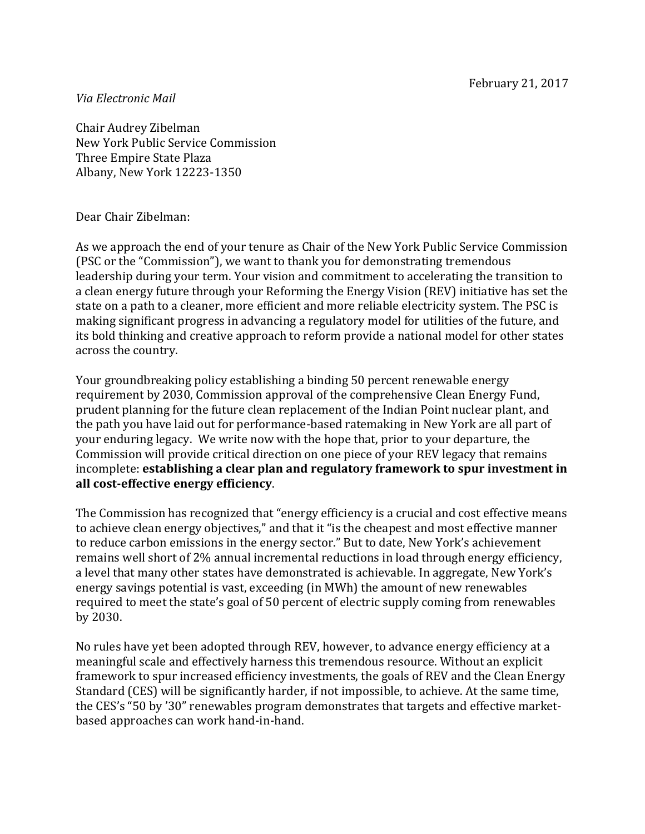## *Via Electronic Mail*

Chair Audrey Zibelman New York Public Service Commission Three Empire State Plaza Albany, New York 12223-1350

## Dear Chair Zibelman:

As we approach the end of your tenure as Chair of the New York Public Service Commission (PSC or the "Commission"), we want to thank you for demonstrating tremendous leadership during your term. Your vision and commitment to accelerating the transition to a clean energy future through your Reforming the Energy Vision (REV) initiative has set the state on a path to a cleaner, more efficient and more reliable electricity system. The PSC is making significant progress in advancing a regulatory model for utilities of the future, and its bold thinking and creative approach to reform provide a national model for other states across the country.

Your groundbreaking policy establishing a binding 50 percent renewable energy requirement by 2030, Commission approval of the comprehensive Clean Energy Fund, prudent planning for the future clean replacement of the Indian Point nuclear plant, and the path you have laid out for performance-based ratemaking in New York are all part of your enduring legacy. We write now with the hope that, prior to your departure, the Commission will provide critical direction on one piece of your REV legacy that remains incomplete: **establishing a clear plan and regulatory framework to spur investment in all cost-effective energy efficiency**.

The Commission has recognized that "energy efficiency is a crucial and cost effective means to achieve clean energy objectives," and that it "is the cheapest and most effective manner to reduce carbon emissions in the energy sector." But to date, New York's achievement remains well short of 2% annual incremental reductions in load through energy efficiency, a level that many other states have demonstrated is achievable. In aggregate, New York's energy savings potential is vast, exceeding (in MWh) the amount of new renewables required to meet the state's goal of 50 percent of electric supply coming from renewables by 2030.

No rules have yet been adopted through REV, however, to advance energy efficiency at a meaningful scale and effectively harness this tremendous resource. Without an explicit framework to spur increased efficiency investments, the goals of REV and the Clean Energy Standard (CES) will be significantly harder, if not impossible, to achieve. At the same time, the CES's "50 by '30" renewables program demonstrates that targets and effective marketbased approaches can work hand-in-hand.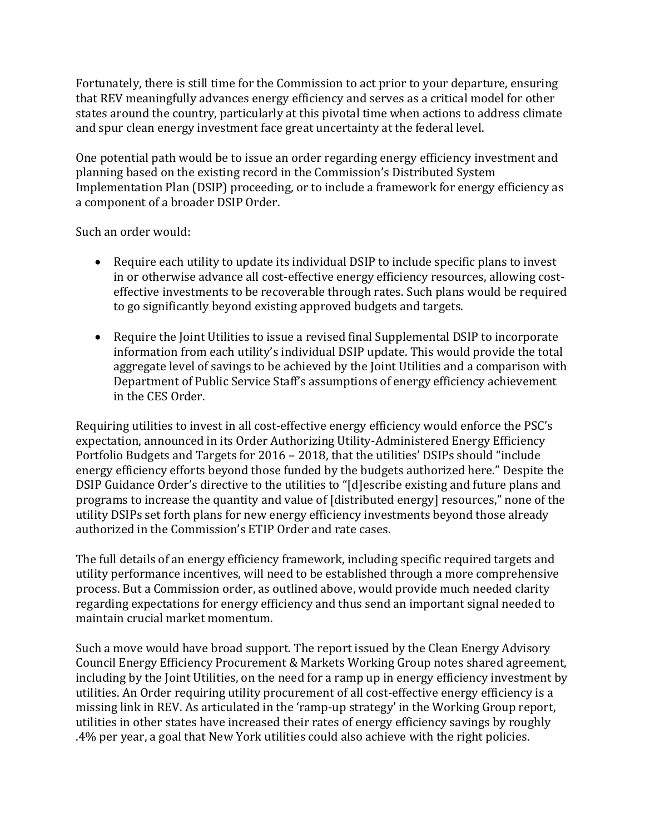Fortunately, there is still time for the Commission to act prior to your departure, ensuring that REV meaningfully advances energy efficiency and serves as a critical model for other states around the country, particularly at this pivotal time when actions to address climate and spur clean energy investment face great uncertainty at the federal level.

One potential path would be to issue an order regarding energy efficiency investment and planning based on the existing record in the Commission's Distributed System Implementation Plan (DSIP) proceeding, or to include a framework for energy efficiency as a component of a broader DSIP Order.

Such an order would:

- Require each utility to update its individual DSIP to include specific plans to invest in or otherwise advance all cost-effective energy efficiency resources, allowing costeffective investments to be recoverable through rates. Such plans would be required to go significantly beyond existing approved budgets and targets.
- Require the Joint Utilities to issue a revised final Supplemental DSIP to incorporate information from each utility's individual DSIP update. This would provide the total aggregate level of savings to be achieved by the Joint Utilities and a comparison with Department of Public Service Staff's assumptions of energy efficiency achievement in the CES Order.

Requiring utilities to invest in all cost-effective energy efficiency would enforce the PSC's expectation, announced in its Order Authorizing Utility-Administered Energy Efficiency Portfolio Budgets and Targets for 2016 – 2018, that the utilities' DSIPs should "include energy efficiency efforts beyond those funded by the budgets authorized here." Despite the DSIP Guidance Order's directive to the utilities to "[d]escribe existing and future plans and programs to increase the quantity and value of [distributed energy] resources," none of the utility DSIPs set forth plans for new energy efficiency investments beyond those already authorized in the Commission's ETIP Order and rate cases.

The full details of an energy efficiency framework, including specific required targets and utility performance incentives, will need to be established through a more comprehensive process. But a Commission order, as outlined above, would provide much needed clarity regarding expectations for energy efficiency and thus send an important signal needed to maintain crucial market momentum.

Such a move would have broad support. The report issued by the Clean Energy Advisory Council Energy Efficiency Procurement & Markets Working Group notes shared agreement, including by the Joint Utilities, on the need for a ramp up in energy efficiency investment by utilities. An Order requiring utility procurement of all cost-effective energy efficiency is a missing link in REV. As articulated in the 'ramp-up strategy' in the Working Group report, utilities in other states have increased their rates of energy efficiency savings by roughly .4% per year, a goal that New York utilities could also achieve with the right policies.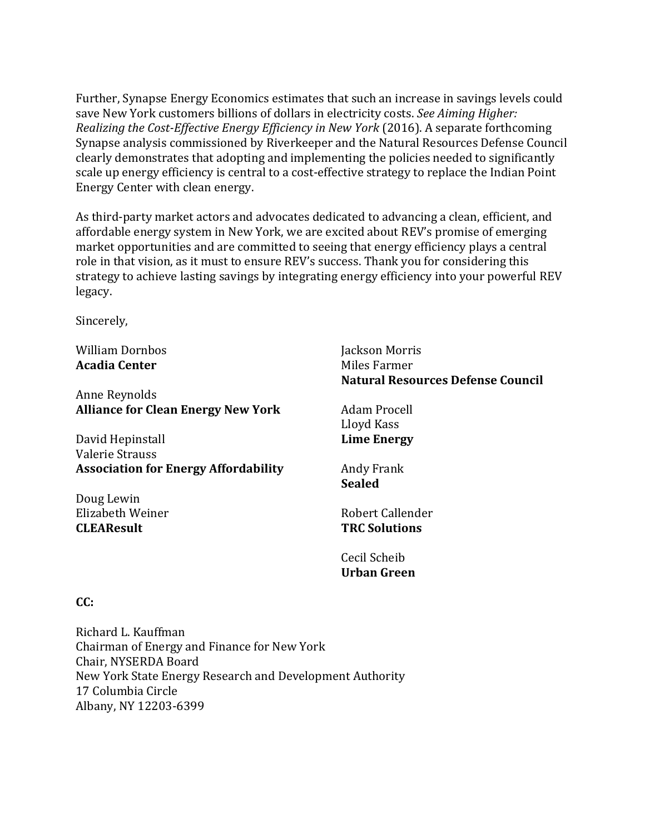Further, Synapse Energy Economics estimates that such an increase in savings levels could save New York customers billions of dollars in electricity costs. *See Aiming Higher: Realizing the Cost-Effective Energy Efficiency in New York* (2016). A separate forthcoming Synapse analysis commissioned by Riverkeeper and the Natural Resources Defense Council clearly demonstrates that adopting and implementing the policies needed to significantly scale up energy efficiency is central to a cost-effective strategy to replace the Indian Point Energy Center with clean energy.

As third-party market actors and advocates dedicated to advancing a clean, efficient, and affordable energy system in New York, we are excited about REV's promise of emerging market opportunities and are committed to seeing that energy efficiency plays a central role in that vision, as it must to ensure REV's success. Thank you for considering this strategy to achieve lasting savings by integrating energy efficiency into your powerful REV legacy.

Sincerely,

William Dornbos **Acadia Center**

Anne Reynolds **Alliance for Clean Energy New York**

David Hepinstall Valerie Strauss **Association for Energy Affordability**

Doug Lewin Elizabeth Weiner **CLEAResult**

Jackson Morris Miles Farmer **Natural Resources Defense Council**

Adam Procell Lloyd Kass **Lime Energy**

Andy Frank **Sealed**

Robert Callender **TRC Solutions**

Cecil Scheib **Urban Green**

## **CC:**

Richard L. Kauffman Chairman of Energy and Finance for New York Chair, NYSERDA Board New York State Energy Research and Development Authority 17 Columbia Circle Albany, NY 12203-6399